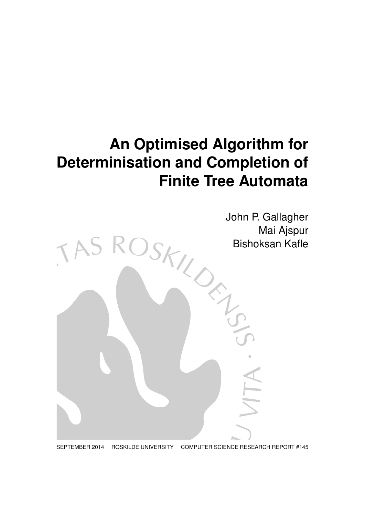# **An Optimised Algorithm for Determinisation and Completion of Finite Tree Automata**



SEPTEMBER 2014 ROSKILDE UNIVERSITY COMPUTER SCIENCE RESEARCH REPORT #145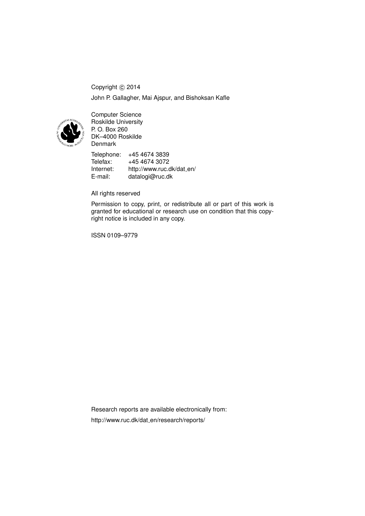Copyright © 2014 John P. Gallagher, Mai Ajspur, and Bishoksan Kafle



Computer Science Roskilde University P. O. Box 260 DK–4000 Roskilde Denmark

Telephone: +45 4674 3839<br>Telefax: +45 4674 3072 Telefax: +45 4674 3072<br>Internet: http://www.ruc.c http://www.ruc.dk/dat\_en/ E-mail: datalogi@ruc.dk

# All rights reserved

Permission to copy, print, or redistribute all or part of this work is granted for educational or research use on condition that this copyright notice is included in any copy.

ISSN 0109–9779

Research reports are available electronically from: http://www.ruc.dk/dat\_en/research/reports/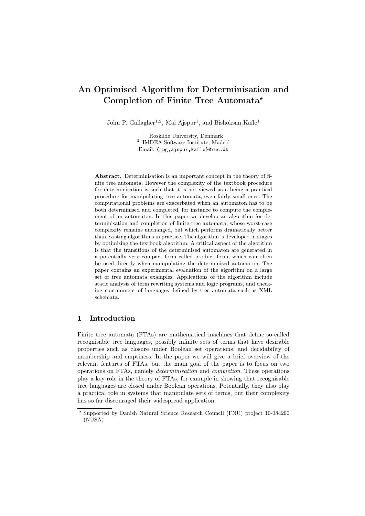# An Optimised Algorithm for Determinisation and Completion of Finite Tree Automata?

John P. Gallagher<sup>1,2</sup>, Mai Ajspur<sup>1</sup>, and Bishoksan Kafle<sup>1</sup>

<sup>1</sup> Roskilde University, Denmark 2 IMDEA Software Institute, Madrid Email: {jpg,ajspur,kafle}@ruc.dk

Abstract. Determinisation is an important concept in the theory of finite tree automata. However the complexity of the textbook procedure for determinisation is such that it is not viewed as a being a practical procedure for manipulating tree automata, even fairly small ones. The computational problems are exacerbated when an automaton has to be both determinised and completed, for instance to compute the complement of an automaton. In this paper we develop an algorithm for determinisation and completion of finite tree automata, whose worst-case complexity remains unchanged, but which performs dramatically better than existing algorithms in practice. The algorithm is developed in stages by optimising the textbook algorithm. A critical aspect of the algorithm is that the transitions of the determinised automaton are generated in a potentially very compact form called product form, which can often be used directly when manipulating the determinised automaton. The paper contains an experimental evaluation of the algorithm on a large set of tree automata examples. Applications of the algorithm include static analysis of term rewriting systems and logic programs, and checking containment of languages defined by tree automata such as XML schemata.

# 1 Introduction

Finite tree automata (FTAs) are mathematical machines that define so-called recognisable tree languages, possibly infinite sets of terms that have desirable properties such as closure under Boolean set operations, and decidability of membership and emptiness. In the paper we will give a brief overview of the relevant features of FTAs, but the main goal of the paper is to focus on two operations on FTAs, namely determinisation and completion. These operations play a key role in the theory of FTAs, for example in showing that recognisable tree languages are closed under Boolean operations. Potentially, they also play a practical role in systems that manipulate sets of terms, but their complexity has so far discouraged their widespread application.

<sup>?</sup> Supported by Danish Natural Science Research Council (FNU) project 10-084290 (NUSA)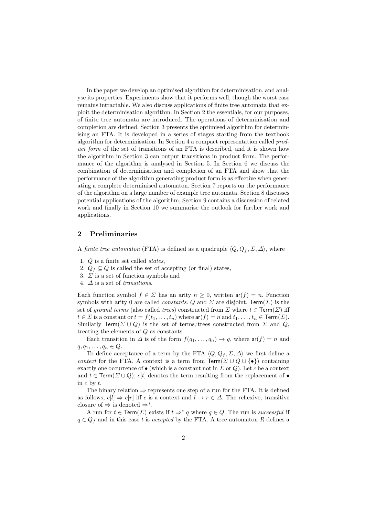In the paper we develop an optimised algorithm for determinisation, and analyse its properties. Experiments show that it performs well, though the worst case remains intractable. We also discuss applications of finite tree automata that exploit the determinisation algorithm. In Section 2 the essentials, for our purposes, of finite tree automata are introduced. The operations of determinisation and completion are defined. Section 3 presents the optimised algorithm for determinising an FTA. It is developed in a series of stages starting from the textbook algorithm for determinisation. In Section 4 a compact representation called product form of the set of transitions of an FTA is described, and it is shown how the algorithm in Section 3 can output transitions in product form. The performance of the algorithm is analysed in Section 5. In Section 6 we discuss the combination of determinisation and completion of an FTA and show that the performance of the algorithm generating product form is as effective when generating a complete determinised automaton. Section 7 reports on the performance of the algorithm on a large number of example tree automata. Section 8 discusses potential applications of the algorithm, Section 9 contains a discussion of related work and finally in Section 10 we summarise the outlook for further work and applications.

# 2 Preliminaries

A finite tree automaton (FTA) is defined as a quadruple  $\langle Q, Q_f , \Sigma, \Delta \rangle$ , where

- 1. Q is a finite set called states,
- 2.  $Q_f \subseteq Q$  is called the set of accepting (or final) states,
- 3.  $\Sigma$  is a set of function symbols and
- 4.  $\Delta$  is a set of transitions.

Each function symbol  $f \in \Sigma$  has an arity  $n \geq 0$ , written  $ar(f) = n$ . Function symbols with arity 0 are called *constants.* Q and  $\Sigma$  are disjoint. Term( $\Sigma$ ) is the set of ground terms (also called trees) constructed from  $\Sigma$  where  $t \in \text{Term}(\Sigma)$  iff  $t \in \Sigma$  is a constant or  $t = f(t_1, \ldots, t_n)$  where  $\text{ar}(f) = n$  and  $t_1, \ldots, t_n \in \text{Term}(\Sigma)$ . Similarly Term( $\Sigma \cup Q$ ) is the set of terms/trees constructed from  $\Sigma$  and  $Q$ , treating the elements of Q as constants.

Each transition in  $\Delta$  is of the form  $f(q_1, \ldots, q_n) \to q$ , where  $\mathsf{ar}(f) = n$  and  $q, q_1, \ldots, q_n \in Q$ .

To define acceptance of a term by the FTA  $\langle Q, Q_f, \Sigma, \Delta \rangle$  we first define a context for the FTA. A context is a term from  $\mathsf{Term}(\Sigma \cup Q \cup \{\bullet\})$  containing exactly one occurrence of  $\bullet$  (which is a constant not in  $\Sigma$  or Q). Let c be a context and  $t \in \text{Term}(\Sigma \cup Q)$ ; c[t] denotes the term resulting from the replacement of • in c by t.

The binary relation  $\Rightarrow$  represents one step of a run for the FTA. It is defined as follows;  $c[l] \Rightarrow c[r]$  iff c is a context and  $l \to r \in \Delta$ . The reflexive, transitive closure of  $\Rightarrow$  is denoted  $\Rightarrow^*$ .

A run for  $t \in \text{Term}(\Sigma)$  exists if  $t \Rightarrow^* q$  where  $q \in Q$ . The run is successful if  $q \in Q_f$  and in this case t is accepted by the FTA. A tree automaton R defines a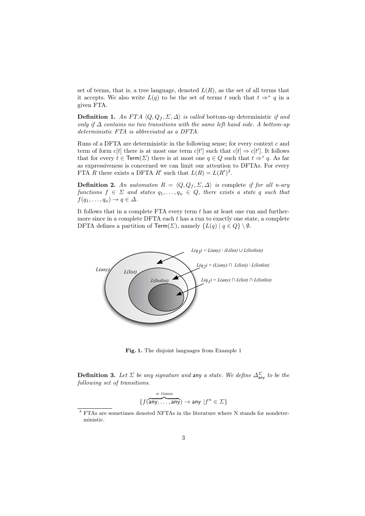set of terms, that is, a tree language, denoted  $L(R)$ , as the set of all terms that it accepts. We also write  $L(q)$  to be the set of terms t such that  $t \Rightarrow^* q$  in a given FTA.

**Definition 1.** An FTA  $\langle Q, Q_f, \Sigma, \Delta \rangle$  is called bottom-up deterministic if and only if  $\Delta$  contains no two transitions with the same left hand side. A bottom-up deterministic FTA is abbreviated as a DFTA.

Runs of a DFTA are deterministic in the following sense; for every context  $c$  and term of form  $c[t]$  there is at most one term  $c[t']$  such that  $c[t] \Rightarrow c[t']$ . It follows that for every  $t \in \text{Term}(\Sigma)$  there is at most one  $q \in Q$  such that  $t \Rightarrow^* q$ . As far as expressiveness is concerned we can limit our attention to DFTAs. For every FTA R there exists a DFTA R' such that  $L(R) = L(R')^3$ .

**Definition 2.** An automaton  $R = \langle Q, Q_f, \Sigma, \Delta \rangle$  is complete if for all n-ary functions  $f \in \Sigma$  and states  $q_1, \ldots, q_n \in Q$ , there exists a state q such that  $f(q_1, \ldots, q_n) \to q \in \Delta$ .

It follows that in a complete FTA every term  $t$  has at least one run and furthermore since in a complete  $DFTA$  each t has a run to exactly one state, a complete DFTA defines a partition of Term( $\Sigma$ ), namely  $\{L(q) | q \in Q\} \setminus \emptyset$ .



Fig. 1. The disjoint languages from Example 1

**Definition 3.** Let  $\Sigma$  be any signature and any a state. We define  $\Delta_{\text{any}}^{\Sigma}$  to be the following set of transitions.

$$
\{f(\overbrace{\mathsf{any},\ldots,\mathsf{any}}^{n \text{ times}}) \to \mathsf{any} \; | f^n \in \varSigma\}
$$

<sup>3</sup> FTAs are sometimes denoted NFTAs in the literature where N stands for nondeterministic.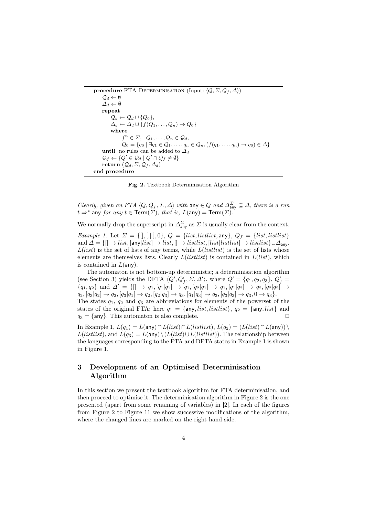```
procedure FTA DETERMINISATION (Input: \langle Q, \Sigma, Q_f, \Delta \rangle)
      \mathcal{Q}_d \leftarrow \emptyset\Delta_d \leftarrow \emptysetrepeat
            \mathcal{Q}_d \leftarrow \mathcal{Q}_d \cup \{Q_0\},\\Delta_d \leftarrow \Delta_d \cup \{f(Q_1,\ldots,Q_n) \rightarrow Q_0\}where
                    f^n \in \Sigma, Q_1, \ldots, Q_n \in \mathcal{Q}_d,
                    Q_0 = \{q_0 \mid \exists q_1 \in Q_1, \ldots, q_n \in Q_n, (f(q_1, \ldots, q_n) \to q_0) \in \Delta \}until no rules can be added to \Delta_d\mathcal{Q}_f \leftarrow \{Q' \in \mathcal{Q}_d \mid Q' \cap Q_f \neq \emptyset\}return (Q_d, \Sigma, \mathcal{Q}_f, \Delta_d)end procedure
```
Fig. 2. Textbook Determinisation Algorithm

Clearly, given an FTA  $\langle Q, Q_f, \Sigma, \Delta \rangle$  with any  $\in Q$  and  $\Delta_{\text{any}}^{\Sigma} \subseteq \Delta$ , there is a run  $t \Rightarrow^*$  any for any  $t \in \mathsf{Term}(\Sigma)$ , that is,  $L(\mathsf{any}) = \mathsf{Term}(\Sigma)$ .

We normally drop the superscript in  $\Delta_{\text{any}}^{\Sigma}$  as  $\Sigma$  is usually clear from the context.

Example 1. Let  $\Sigma = \{[], [..], 0\}$ ,  $Q = \{list, listlist, \text{any}\}$ ,  $Q_f = \{list, listlist\}$ and  $\Delta = \{[] \rightarrow list, [\text{any} | list] \rightarrow list, [] \rightarrow listlist, [list | listlist] \rightarrow listlist] \cup \Delta_{\text{any}}.$  $L(list)$  is the set of lists of any terms, while  $L(listlist)$  is the set of lists whose elements are themselves lists. Clearly  $L(listlist)$  is contained in  $L(list)$ , which is contained in  $L(\text{any})$ .

The automaton is not bottom-up deterministic; a determinisation algorithm (see Section 3) yields the DFTA  $\langle Q', Q'_f, \Sigma, \Delta' \rangle$ , where  $Q' = \{q_1, q_2, q_3\}, Q'_f =$  ${q_1, q_2}$  and  $\Delta' = \{[] \rightarrow q_1, [q_1|q_1] \rightarrow q_1, [q_2|q_1] \rightarrow q_1, [q_1|q_2] \rightarrow q_2, [q_2|q_2] \rightarrow q_1, [q_2|q_3] \rightarrow q_2, [q_3|q_3] \rightarrow q_2, [q_3|q_3] \rightarrow q_1, [q_3|q_2] \rightarrow q_2, [q_3|q_3] \rightarrow q_2, [q_3|q_3] \rightarrow q_2, [q_3|q_3] \rightarrow q_2, [q_3|q_3] \rightarrow q_2, [q_3|q_3] \rightarrow$  $q_2, [q_3|q_2] \rightarrow q_2, [q_3|q_1] \rightarrow q_2, [q_2|q_3] \rightarrow q_3, [q_1|q_3] \rightarrow q_3, [q_3|q_3] \rightarrow q_3, 0 \rightarrow q_3$ .

The states  $q_1$ ,  $q_2$  and  $q_3$  are abbreviations for elements of the powerset of the states of the original FTA; here  $q_1 = \{\text{any}, list, listlist\}, q_2 = \{\text{any}, list\}$  and  $q_2 = \{\text{any}\}$ . This automaton is also complete  $q_3 = \{ \text{any} \}.$  This automaton is also complete.

In Example 1,  $L(q_1) = L(\text{any}) ∩ L(list) ∩ L(listlist), L(q_2) = (L(list) ∩ L(\text{any})) \setminus$  $L(listlist)$ , and  $L(q_3) = L($ any) $\setminus (L(list) \cup L(listlist))$ . The relationship between the languages corresponding to the FTA and DFTA states in Example 1 is shown in Figure 1.

# 3 Development of an Optimised Determinisation Algorithm

In this section we present the textbook algorithm for FTA determinisation, and then proceed to optimise it. The determinisation algorithm in Figure 2 is the one presented (apart from some renaming of variables) in [2]. In each of the figures from Figure 2 to Figure 11 we show successive modifications of the algorithm, where the changed lines are marked on the right hand side.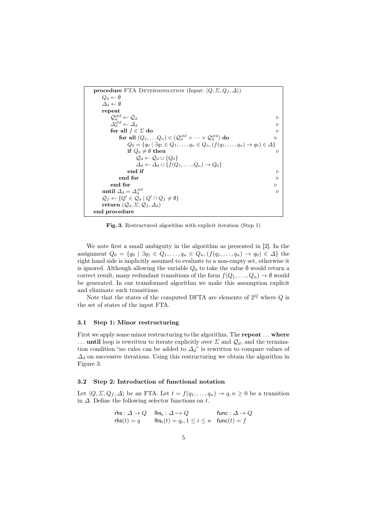

Fig. 3. Restructured algorithm with explicit iteration (Step 1)

We note first a small ambiguity in the algorithm as presented in [2]. In the assignment  $Q_0 = \{q_0 \mid \exists q_1 \in Q_1, \ldots, q_n \in Q_n, (f(q_1, \ldots, q_n) \to q_0) \in \Delta \}$  the right hand side is implicitly assumed to evaluate to a non-empty set, otherwise it is ignored. Although allowing the variable  $Q_0$  to take the value  $\emptyset$  would return a correct result, many redundant transitions of the form  $f(Q_1, \ldots, Q_n) \to \emptyset$  would be generated. In our transformed algorithm we make this assumption explicit and eliminate such transitions.

Note that the states of the computed DFTA are elements of  $2^Q$  where  $Q$  is the set of states of the input FTA.

#### 3.1 Step 1: Minor restructuring

First we apply some minor restructuring to the algorithm. The **repeat** ... where ... until loop is rewritten to iterate explicitly over  $\Sigma$  and  $\mathcal{Q}_d$ , and the termination condition "no rules can be added to  $\Delta_d$ " is rewritten to compare values of  $\Delta_d$  on successive iterations. Using this restructuring we obtain the algorithm in Figure 3.

## 3.2 Step 2: Introduction of functional notation

Let  $\langle Q, \Sigma, Q_f, \Delta \rangle$  be an FTA. Let  $t = f(q_1, \ldots, q_n) \to q, n \geq 0$  be a transition in  $\Delta$ . Define the following selector functions on t.

$$
\begin{array}{ll}\n\text{rhs}: \Delta \to Q & \text{lhs}_i: \Delta \hookrightarrow Q & \text{func}: \Delta \to Q \\
\text{rhs}(t) = q & \text{lhs}_i(t) = q_i, 1 \le i \le n & \text{func}(t) = f\n\end{array}
$$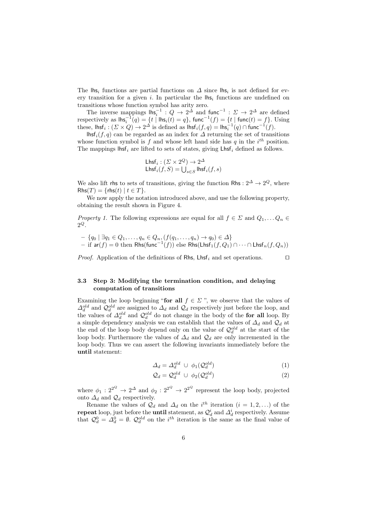The  $\mathsf{Ins}_i$  functions are partial functions on  $\Delta$  since  $\mathsf{Ins}_i$  is not defined for every transition for a given i. In particular the  $\vert$ hs<sub>i</sub> functions are undefined on transitions whose function symbol has arity zero.

The inverse mappings  $\mathsf{Ins}_i^{-1}: Q \to 2^{\Delta}$  and  $\mathsf{func}^{-1}: \Sigma \to 2^{\Delta}$  are defined respectively as  $\textsf{lhs}_i^{-1}(q) = \{t \mid \textsf{lhs}_i(t) = q\}$ ,  $\textsf{func}^{-1}(f) = \{t \mid \textsf{func}(t) = f\}$ . Using these,  $\mathsf{lhsf}_i : (\Sigma \times Q) \to 2^\Delta$  is defined as  $\mathsf{lhsf}_i(f, q) = \mathsf{lhsf}_i^{-1}(q) \cap \mathsf{func}^{-1}(f)$ .

lhsf  $i(f, q)$  can be regarded as an index for  $\Delta$  returning the set of transitions whose function symbol is f and whose left hand side has q in the  $i<sup>th</sup>$  position. The mappings lhsf<sub>i</sub> are lifted to sets of states, giving  $\mathsf{Lhsf}_i$  defined as follows.

$$
\begin{array}{l}\text{Lhsf}_i: (\varSigma \times 2^Q) \to 2^{\varDelta} \\ \text{Lhsf}_i(f, S) = \bigcup_{s \in S} \text{lhsf}_i(f, s) \end{array}
$$

We also lift rhs to sets of transitions, giving the function Rhs :  $2^{\Delta} \rightarrow 2^{\mathcal{Q}}$ , where  $Rhs(T) = {rhs(t) | t \in T}.$ 

We now apply the notation introduced above, and use the following property, obtaining the result shown in Figure 4.

Property 1. The following expressions are equal for all  $f \in \Sigma$  and  $Q_1, \ldots Q_n \in$  $2^Q$ .

$$
- \{q_0 \mid \exists q_1 \in Q_1, \dots, q_n \in Q_n, (f(q_1, \dots, q_n) \to q_0) \in \Delta\}
$$
  
- if  $\operatorname{ar}(f) = 0$  then Rhs $(\operatorname{func}^{-1}(f))$  else Rhs $(\operatorname{Lhsf}_1(f, Q_1) \cap \dots \cap \operatorname{Lhsf}_n(f, Q_n))$ 

*Proof.* Application of the definitions of Rhs, Lhsf<sub>i</sub> and set operations.  $\square$ 

# 3.3 Step 3: Modifying the termination condition, and delaying computation of transitions

Examining the loop beginning "for all  $f \in \Sigma$ ", we observe that the values of  $\Delta_d^{old}$  and  $\mathcal{Q}_d^{old}$  are assigned to  $\Delta_d$  and  $\mathcal{Q}_d$  respectively just before the loop, and the values of  $\Delta_d^{old}$  and  $\mathcal{Q}_d^{old}$  do not change in the body of the for all loop. By a simple dependency analysis we can establish that the values of  $\Delta_d$  and  $\mathcal{Q}_d$  at the end of the loop body depend only on the value of  $\mathcal{Q}_d^{old}$  at the start of the loop body. Furthermore the values of  $\Delta_d$  and  $\mathcal{Q}_d$  are only incremented in the loop body. Thus we can assert the following invariants immediately before the until statement:

$$
\Delta_d = \Delta_d^{old} \cup \phi_1(\mathcal{Q}_d^{old}) \tag{1}
$$

$$
\mathcal{Q}_d = \mathcal{Q}_d^{old} \ \cup \ \phi_2(\mathcal{Q}_d^{old}) \tag{2}
$$

where  $\phi_1: 2^{2^Q} \to 2^{\Delta}$  and  $\phi_2: 2^{2^Q} \to 2^{2^Q}$  represent the loop body, projected onto  $\Delta_d$  and  $\mathcal{Q}_d$  respectively.

Rename the values of  $\mathcal{Q}_d$  and  $\Delta_d$  on the i<sup>th</sup> iteration  $(i = 1, 2, ...)$  of the repeat loop, just before the **until** statement, as  $\mathcal{Q}_d^i$  and  $\Delta_d^i$  respectively. Assume depends to the statement of the interaction of  $Q_d^d$  and  $\Delta_d$  respectively. Assume that  $Q_d^0 = \Delta_d^0 = \emptyset$ .  $Q_d^{old}$  on the *i*<sup>th</sup> iteration is the same as the final value of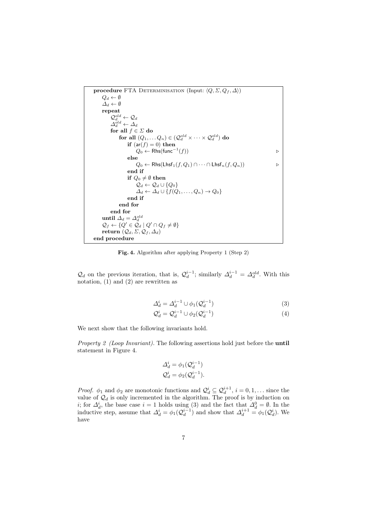

Fig. 4. Algorithm after applying Property 1 (Step 2)

 $\mathcal{Q}_d$  on the previous iteration, that is,  $\mathcal{Q}_d^{i-1}$ ; similarly  $\Delta_d^{i-1} = \Delta_d^{old}$ . With this notation, (1) and (2) are rewritten as

$$
\Delta_d^i = \Delta_d^{i-1} \cup \phi_1(\mathcal{Q}_d^{i-1}) \tag{3}
$$

$$
\mathcal{Q}_d^i = \mathcal{Q}_d^{i-1} \cup \phi_2(\mathcal{Q}_d^{i-1})
$$
\n
$$
\tag{4}
$$

We next show that the following invariants hold.

Property 2 (Loop Invariant). The following assertions hold just before the **until** statement in Figure 4.

$$
\Delta_d^i = \phi_1(\mathcal{Q}_d^{i-1})
$$
  

$$
\mathcal{Q}_d^i = \phi_2(\mathcal{Q}_d^{i-1}).
$$

*Proof.*  $\phi_1$  and  $\phi_2$  are monotonic functions and  $\mathcal{Q}_d^i \subseteq \mathcal{Q}_d^{i+1}$ ,  $i = 0, 1, \ldots$  since the value of  $\mathcal{Q}_d$  is only incremented in the algorithm. The proof is by induction on i; for  $\Delta_d^i$ , the base case  $i = 1$  holds using (3) and the fact that  $\Delta_d^0 = \emptyset$ . In the inductive step, assume that  $\Delta_d^i = \phi_1(Q_d^{i-1})$  and show that  $\Delta_d^{i+1} = \phi_1(Q_d^i)$ . We have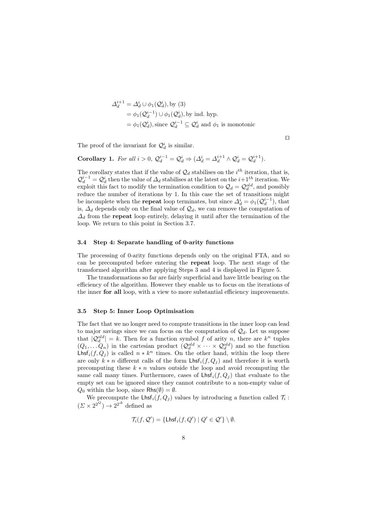$$
\Delta_d^{i+1} = \Delta_d^i \cup \phi_1(\mathcal{Q}_d^i), \text{ by (3)}
$$
  
=  $\phi_1(\mathcal{Q}_d^{i-1}) \cup \phi_1(\mathcal{Q}_d^i), \text{ by ind. hyp.}$   
=  $\phi_1(\mathcal{Q}_d^i), \text{ since } \mathcal{Q}_d^{i-1} \subseteq \mathcal{Q}_d^i \text{ and } \phi_1 \text{ is monotonic}$ 

 $\Box$ 

The proof of the invariant for  $\mathcal{Q}_d^i$  is similar.

**Corollary 1.** For all  $i > 0$ ,  $\mathcal{Q}_d^{i-1} = \mathcal{Q}_d^i \Rightarrow (\Delta_d^i = \Delta_d^{i+1} \wedge \mathcal{Q}_d^i = \mathcal{Q}_d^{i+1})$ .

The corollary states that if the value of  $\mathcal{Q}_d$  stabilises on the *i*<sup>th</sup> iteration, that is,  $\mathcal{Q}_{d}^{i-1} = \mathcal{Q}_{d}^{i}$  then the value of  $\Delta_{d}$  stabilises at the latest on the  $i+1<sup>th</sup>$  iteration. We exploit this fact to modify the termination condition to  $\mathcal{Q}_d = \mathcal{Q}_d^{old}$ , and possibly reduce the number of iterations by 1. In this case the set of transitions might be incomplete when the **repeat** loop terminates, but since  $\Delta_d^i = \phi_1(\mathcal{Q}_d^{i-1})$ , that is,  $\Delta_d$  depends only on the final value of  $\mathcal{Q}_d$ , we can remove the computation of  $\Delta_d$  from the **repeat** loop entirely, delaying it until after the termination of the loop. We return to this point in Section 3.7.

#### 3.4 Step 4: Separate handling of 0-arity functions

The processing of 0-arity functions depends only on the original FTA, and so can be precomputed before entering the repeat loop. The next stage of the transformed algorithm after applying Steps 3 and 4 is displayed in Figure 5.

The transformations so far are fairly superficial and have little bearing on the efficiency of the algorithm. However they enable us to focus on the iterations of the inner for all loop, with a view to more substantial efficiency improvements.

## 3.5 Step 5: Inner Loop Optimisation

The fact that we no longer need to compute transitions in the inner loop can lead to major savings since we can focus on the computation of  $\mathcal{Q}_d$ . Let us suppose that  $|Q_d^{old}| = k$ . Then for a function symbol f of arity n, there are  $k^n$  tuples  $(Q_1, \ldots Q_n)$  in the cartesian product  $(Q_d^{old} \times \cdots \times Q_d^{old})$  and so the function  $\textsf{Lhsf}_i(f,Q_j)$  is called  $n * k^n$  times. On the other hand, within the loop there are only  $k * n$  different calls of the form  $\mathsf{Lhsf}_i(f, Q_j)$  and therefore it is worth precomputing these  $k * n$  values outside the loop and avoid recomputing the same call many times. Furthermore, cases of  $\mathsf{Lhsf}_i(f, Q_i)$  that evaluate to the empty set can be ignored since they cannot contribute to a non-empty value of  $Q_0$  within the loop, since Rhs( $\emptyset$ ) =  $\emptyset$ .

We precompute the Lhsf<sub>i</sub> $(f, Q_j)$  values by introducing a function called  $\mathcal{T}_i$ :  $(\Sigma \times 2^{2^Q}) \rightarrow 2^{2^{\Delta}}$  defined as

$$
\mathcal{T}_i(f, \mathcal{Q}') = \{ \mathsf{Lhsf}_i(f, Q') \mid Q' \in \mathcal{Q}' \} \setminus \emptyset.
$$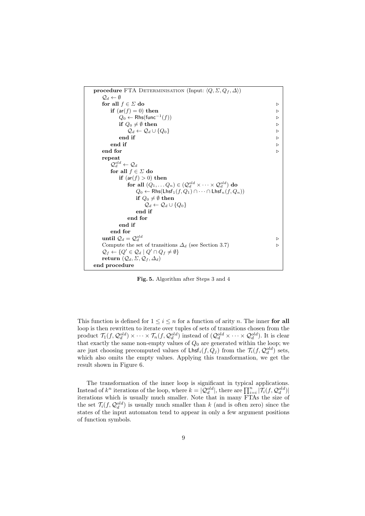

Fig. 5. Algorithm after Steps 3 and 4

This function is defined for  $1 \leq i \leq n$  for a function of arity n. The inner for all loop is then rewritten to iterate over tuples of sets of transitions chosen from the product  $\mathcal{T}_1(f, \mathcal{Q}_d^{old}) \times \cdots \times \mathcal{T}_n(f, \mathcal{Q}_d^{old})$  instead of  $(\mathcal{Q}_d^{old} \times \cdots \times \mathcal{Q}_d^{old})$ . It is clear that exactly the same non-empty values of  $Q_0$  are generated within the loop; we are just choosing precomputed values of  $\mathsf{Lhsf}_i(f, Q_j)$  from the  $\mathcal{T}_i(f, \mathcal{Q}_d^{old})$  sets, which also omits the empty values. Applying this transformation, we get the result shown in Figure 6.

The transformation of the inner loop is significant in typical applications. Instead of  $k^n$  iterations of the loop, where  $k = |Q_d^{old}|$ , there are  $\prod_{i=1}^n |\mathcal{T}_i(f, Q_d^{old})|$ iterations which is usually much smaller. Note that in many FTAs the size of the set  $\mathcal{T}_i(f, \mathcal{Q}_d^{old})$  is usually much smaller than k (and is often zero) since the states of the input automaton tend to appear in only a few argument positions of function symbols.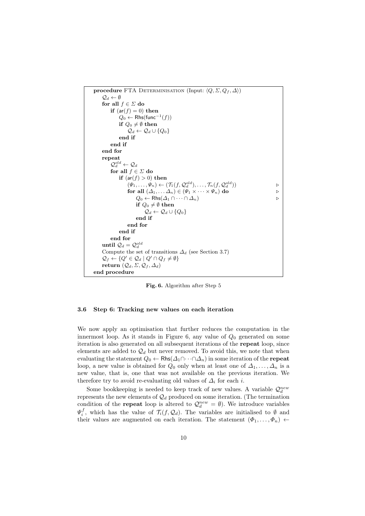

Fig. 6. Algorithm after Step 5

# 3.6 Step 6: Tracking new values on each iteration

We now apply an optimisation that further reduces the computation in the innermost loop. As it stands in Figure 6, any value of  $Q_0$  generated on some iteration is also generated on all subsequent iterations of the repeat loop, since elements are added to  $\mathcal{Q}_d$  but never removed. To avoid this, we note that when evaluating the statement  $Q_0 \leftarrow \mathsf{Rhs}(\Delta_1 \cap \cdots \cap \Delta_n)$  in some iteration of the **repeat** loop, a new value is obtained for  $Q_0$  only when at least one of  $\Delta_1, \ldots, \Delta_n$  is a new value, that is, one that was not available on the previous iteration. We therefore try to avoid re-evaluating old values of  $\Delta_i$  for each i.

Some bookkeeping is needed to keep track of new values. A variable  $\mathcal{Q}_d^{new}$ represents the new elements of  $\mathcal{Q}_d$  produced on some iteration. (The termination condition of the **repeat** loop is altered to  $\mathcal{Q}_d^{new} = \emptyset$ . We introduce variables  $\Psi_i^f$ , which has the value of  $\mathcal{T}_i(f, \mathcal{Q}_d)$ . The variables are initialised to  $\emptyset$  and their values are augmented on each iteration. The statement  $(\Phi_1, \ldots, \Phi_n)$   $\leftarrow$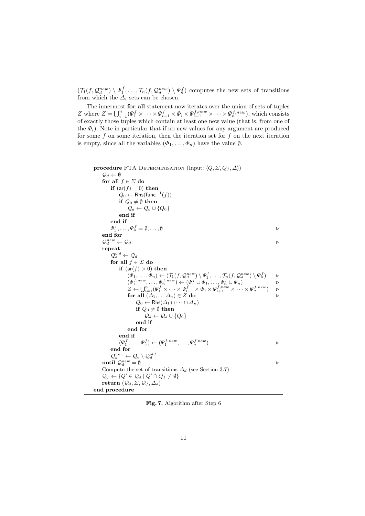$(\mathcal{T}_1(f, \mathcal{Q}_d^{new}) \setminus \Psi_1^f, \ldots, \mathcal{T}_n(f, \mathcal{Q}_d^{new}) \setminus \Psi_n^f)$  computes the new sets of transitions from which the  $\Delta_i$  sets can be chosen.

The innermost for all statement now iterates over the union of sets of tuples Z where  $Z = \bigcup_{i=1}^{n} (\Psi_1^f \times \cdots \times \Psi_{i-1}^f \times \Phi_i \times \Psi_{i+1}^{f,new} \times \cdots \times \Psi_n^{f,new})$ , which consists of exactly those tuples which contain at least one new value (that is, from one of the  $\Phi_i$ ). Note in particular that if no new values for any argument are produced for some  $f$  on some iteration, then the iteration set for  $f$  on the next iteration is empty, since all the variables  $(\Phi_1, \ldots, \Phi_n)$  have the value  $\emptyset$ .

```
procedure FTA DETERMINISATION (Input: \langle Q, \Sigma, Q_f, \Delta \rangle)
     \mathcal{Q}_d \leftarrow \emptysetfor all f \in \Sigma do
          if (ar(f) = 0) then
               Q_0 ← Rhs(func<sup>-1</sup>(f))
               if Q_0 \neq \emptyset then
                    \mathcal{Q}_d \leftarrow \mathcal{Q}_d \cup \{Q_0\}end if
          end if
          \Psi_1^f, \ldots, \Psi_n^f = \emptyset, \ldots, \emptysetend for
     \mathcal{Q}_d^{new} \leftarrow \mathcal{Q}_drepeat
          \mathcal{Q}_d^{old} \leftarrow \mathcal{Q}_dfor all f \in \Sigma do
               if (ar(f) > 0) then
                    (\Phi_1, \ldots, \Phi_n) \leftarrow (\mathcal{T}_1(f, \mathcal{Q}_d^{new}) \setminus \Psi_1^f, \ldots, \mathcal{T}_n(f, \mathcal{Q}_d^{new}) \setminus \Psi_n^f)(\Psi_1^{f,new}, \ldots, \Psi_n^{f,new}) \leftarrow (\Psi_1^f \cup \Phi_1, \ldots, \Psi_n^f \cup \Phi_n)Z \leftarrow \bigcup_{i=1}^n (\Psi^f_1 \times \cdots \times \Psi^f_{i-1} \times \Phi_i \times \Psi^{f,new}_{i+1} \times \cdots \times \Psi^{f,new}_n) \quad \rhdfor all (\Delta_1, \ldots \Delta_n) \in Z do .
                         Q_0 \leftarrow \mathsf{Rhs}(\Delta_1 \cap \cdots \cap \Delta_n)if Q_0 \neq \emptyset then
                              \mathcal{Q}_d \leftarrow \mathcal{Q}_d \cup \{Q_0\}end if
                    end for
               end if
               (\Psi_1^f, \ldots, \Psi_n^f) \leftarrow (\Psi_1^{f, new}, \ldots, \Psi_n^{f, new})end for
     Q_d^{new} \leftarrow Q_d \setminus Q_d^{old}<br>until Q_d^{new} = \emptysetCompute the set of transitions \Delta_d (see Section 3.7)
     \mathcal{Q}_f \leftarrow \{ Q' \in \mathcal{Q}_d \mid Q' \cap Q_f \neq \emptyset \}return (Q_d, \Sigma, Q_f, \Delta_d)end procedure
```
Fig. 7. Algorithm after Step 6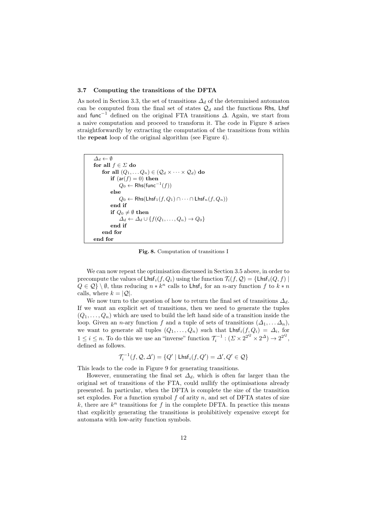#### 3.7 Computing the transitions of the DFTA

As noted in Section 3.3, the set of transitions  $\Delta_d$  of the determinised automaton can be computed from the final set of states  $\mathcal{Q}_d$  and the functions Rhs, Lhsf and func<sup>-1</sup> defined on the original FTA transitions  $\Delta$ . Again, we start from a naive computation and proceed to transform it. The code in Figure 8 arises straightforwardly by extracting the computation of the transitions from within the repeat loop of the original algorithm (see Figure 4).

```
\Delta_d \leftarrow \emptysetfor all f \in \Sigma do
     for all (Q_1, \ldots Q_n) \in (Q_d \times \cdots \times Q_d) do
           if (ar(f) = 0) then
                  Q_0 \leftarrow \mathsf{Rhs}(\mathsf{func}^{-1}(f))else
                  Q_0 \leftarrow \mathsf{Rhs}(\mathsf{Lhsf}_1(f, Q_1) \cap \cdots \cap \mathsf{Lhsf}_n(f, Q_n))end if
           if Q_0 \neq \emptyset then
                 \Delta_d \leftarrow \Delta_d \cup \{f(Q_1, \ldots, Q_n) \rightarrow Q_0\}end if
     end for
end for
```
Fig. 8. Computation of transitions I

We can now repeat the optimisation discussed in Section 3.5 above, in order to precompute the values of  $\mathsf{Lhsf}_i(f, Q_i)$  using the function  $\mathcal{T}_i(f, Q) = \mathsf{Lhsf}_i(Q, f)$  $Q \in \mathcal{Q} \setminus \emptyset$ , thus reducing  $n * k^n$  calls to  $\mathsf{Lhsf}_i$  for an n-ary function  $f$  to  $k * n$ calls, where  $k = |Q|$ .

We now turn to the question of how to return the final set of transitions  $\Delta_d$ . If we want an explicit set of transitions, then we need to generate the tuples  $(Q_1, \ldots, Q_n)$  which are used to build the left hand side of a transition inside the loop. Given an *n*-ary function f and a tuple of sets of transitions  $(\Delta_1, \ldots, \Delta_n)$ , we want to generate all tuples  $(Q_1, \ldots, Q_n)$  such that  $\mathsf{Lhsf}_i(f, Q_i) = \Delta_i$ , for  $1 \leq i \leq n$ . To do this we use an "inverse" function  $\mathcal{T}_i^{-1} : (\Sigma \times 2^{2^Q} \times 2^{\Delta}) \to 2^{2^Q}$ , defined as follows.

$$
\mathcal{T}_i^{-1}(f, \mathcal{Q}, \Delta') = \{Q' \mid \mathsf{Lhsf}_i(f, Q') = \Delta', Q' \in \mathcal{Q}\}
$$

This leads to the code in Figure 9 for generating transitions.

However, enumerating the final set  $\Delta_d$ , which is often far larger than the original set of transitions of the FTA, could nullify the optimisations already presented. In particular, when the DFTA is complete the size of the transition set explodes. For a function symbol  $f$  of arity  $n$ , and set of DFTA states of size  $k$ , there are  $k<sup>n</sup>$  transitions for f in the complete DFTA. In practice this means that explicitly generating the transitions is prohibitively expensive except for automata with low-arity function symbols.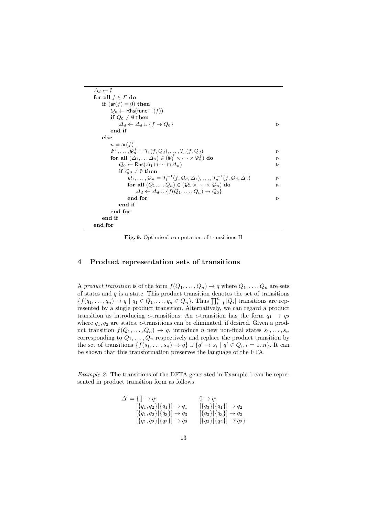```
\varDelta_{d} \leftarrow \emptysetfor all f \in \Sigma do
    if (ar(f) = 0) then
         Q_0 ← Rhs(func<sup>-1</sup>(f))
        if Q_0 \neq \emptyset then
             \Delta_d \leftarrow \Delta_d \cup \{f \rightarrow Q_0\}end if
    else
        n = ar(f)\Psi_1^f, \ldots, \Psi_n^f = \mathcal{T}_1(f, \mathcal{Q}_d), \ldots, \mathcal{T}_n(f, \mathcal{Q}_d)for all (\Delta_1, \ldots \Delta_n) \in (\Psi_1^f \times \cdots \times \Psi_n^f) do
             Q_0 \leftarrow \mathsf{Rhs}(\Delta_1 \cap \cdots \cap \Delta_n)if Q_0 \neq \emptyset then
                 Q_1, ..., Q_n = \mathcal{T}_1^{-1}(f, Q_d, \Delta_1), ..., \mathcal{T}_n^{-1}(f, Q_d, \Delta_n)for all (Q_1, \ldots Q_n) \in (Q_1 \times \cdots \times Q_n) do \qquad \qquad \triangleright\Delta_d \leftarrow \Delta_d \cup \{ f(Q_1, \ldots, Q_n) \rightarrow Q_0 \}end for \hfill\ensuremath{\mathcal{D}}end if
        end for
    end if
end for
```
Fig. 9. Optimised computation of transitions II

## 4 Product representation sets of transitions

A product transition is of the form  $f(Q_1, \ldots, Q_n) \to q$  where  $Q_1, \ldots, Q_n$  are sets of states and  $q$  is a state. This product transition denotes the set of transitions  ${f(q_1,..., q_n) \to q \mid q_1 \in Q_1, ..., q_n \in Q_n}.$  Thus  $\prod_{i=1}^n |Q_i|$  transitions are represented by a single product transition. Alternatively, we can regard a product transition as introducing  $\epsilon$ -transitions. An  $\epsilon$ -transition has the form  $q_1 \rightarrow q_2$ where  $q_1, q_2$  are states.  $\epsilon$ -transitions can be eliminated, if desired. Given a product transition  $f(Q_1, \ldots, Q_n) \to q$ , introduce n new non-final states  $s_1, \ldots, s_n$ corresponding to  $Q_1, \ldots, Q_n$  respectively and replace the product transition by the set of transitions  $\{f(s_1, \ldots, s_n) \to q\} \cup \{q' \to s_i \mid q' \in Q_i, i = 1..n\}$ . It can be shown that this transformation preserves the language of the FTA.

Example 2. The transitions of the DFTA generated in Example 1 can be represented in product transition form as follows.

$$
\Delta' = \{ [\ ] \rightarrow q_1 \qquad \qquad 0 \rightarrow q_1
$$
  
\n
$$
[\{q_1, q_2\} | \{q_1\}] \rightarrow q_1 \qquad [\{q_3\} | \{q_1\}] \rightarrow q_2
$$
  
\n
$$
[\{q_1, q_2\} | \{q_3\}] \rightarrow q_3 \qquad [\{q_3\} | \{q_3\}] \rightarrow q_3
$$
  
\n
$$
[\{q_1, q_2\} | \{q_2\}] \rightarrow q_2 \qquad [\{q_3\} | \{q_2\}] \rightarrow q_2 \}
$$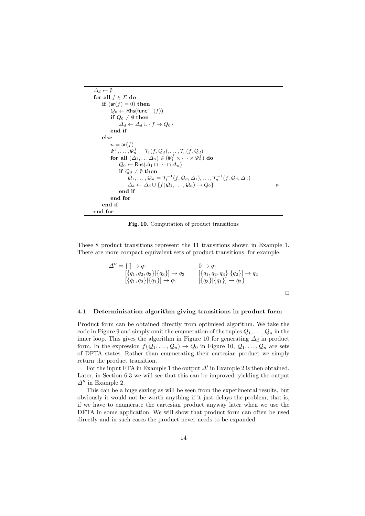```
\varDelta_{d} \leftarrow \emptysetfor all f \in \Sigma do
     if (ar(f) = 0) then
            Q_0 ← Rhs(func<sup>-1</sup>(f))
           if Q_0 \neq \emptyset then
                  \Delta_d \leftarrow \Delta_d \cup \{f \rightarrow Q_0\}end if
     else
            n = ar(f)\Psi_1^f,\ldots,\Psi_n^f=\mathcal{T}_1(f,\mathcal{Q}_d),\ldots,\mathcal{T}_n(f,\mathcal{Q}_d)for all (\Delta_1, \ldots \Delta_n) \in (\Psi_1^f \times \cdots \times \Psi_n^f) do
                  Q_0 \leftarrow \mathsf{Rhs}(\Delta_1 \cap \cdots \cap \Delta_n)if Q_0 \neq \emptyset then
                        Q_1, \ldots, Q_n = \mathcal{T}_1^{-1}(f, Q_d, \Delta_1), \ldots, \mathcal{T}_n^{-1}(f, Q_d, \Delta_n)\Delta_d \leftarrow \Delta_d \cup \{f(\mathcal{Q}_1, \ldots, \mathcal{Q}_n) \to Q_0\}end if
            end for
     end if
end for
```
Fig. 10. Computation of product transitions

These 8 product transitions represent the 11 transitions shown in Example 1. There are more compact equivalent sets of product transitions, for example.

$$
\Delta'' = \{ [\neg \rightarrow q_1 \qquad \qquad 0 \rightarrow q_1 \qquad \qquad \qquad [\{q_1, q_2, q_3\} | \{q_3\}] \rightarrow q_3 \qquad \qquad [\{q_1, q_2, q_3\} | \{q_2\}] \rightarrow q_2 \qquad \qquad [\{q_1, q_2\} | \{q_1\}] \rightarrow q_1 \qquad \qquad [\{q_3\} | \{q_1\}] \rightarrow q_2 \} \qquad \Box
$$

# 4.1 Determinisation algorithm giving transitions in product form

Product form can be obtained directly from optimised algorithm. We take the code in Figure 9 and simply omit the enumeration of the tuples  $Q_1, \ldots, Q_n$  in the inner loop. This gives the algorithm in Figure 10 for generating  $\Delta_d$  in product form. In the expression  $f(Q_1, \ldots, Q_n) \to Q_0$  in Figure 10,  $Q_1, \ldots, Q_n$  are sets of DFTA states. Rather than enumerating their cartesian product we simply return the product transition.

For the input FTA in Example 1 the output  $\Delta'$  in Example 2 is then obtained. Later, in Section 6.3 we will see that this can be improved, yielding the output  $\Delta$ <sup>*n*</sup> in Example 2.

This can be a huge saving as will be seen from the experimental results, but obviously it would not be worth anything if it just delays the problem, that is, if we have to enumerate the cartesian product anyway later when we use the DFTA in some application. We will show that product form can often be used directly and in such cases the product never needs to be expanded.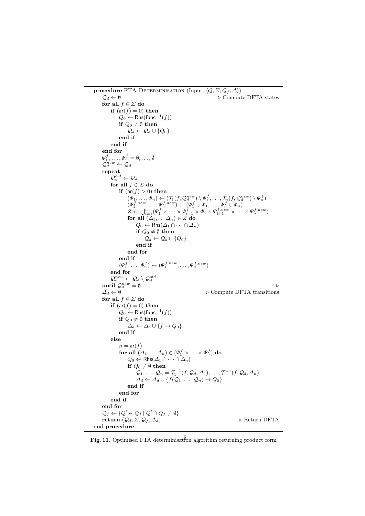```
procedure FTA DETERMINISATION (Input: \langle Q, \Sigma, Q_f, \Delta \rangle)<br>
\varphi_d \leftarrow \emptyset\triangleright Compute DFTA states
      for all f\in \varSigmado
           if (ar(f) = 0) then
                   Q_0 ← Rhs(func<sup>-1</sup>(f))
                  if Q_0 \neq \emptyset then
                        \mathcal{Q}_d \leftarrow \mathcal{Q}_d \cup \{Q_0\}end if
            end if
      end for
      \Psi_1^f,\ldots,\Psi_n^f=\emptyset,\ldots,\emptyset\mathcal{Q}_d^{new} \leftarrow \mathcal{Q}_drepeat
            \mathcal{Q}_d^{old} \leftarrow \mathcal{Q}_dfor all f \in \Sigma do
                  if (ar(f) > 0) then
                         (\Phi_1, \ldots, \Phi_n) \leftarrow (\mathcal{T}_1(f, \mathcal{Q}_d^{new}) \setminus \Psi_1^f, \ldots, \mathcal{T}_n(f, \mathcal{Q}_d^{new}) \setminus \Psi_n^f)(\Psi_1^{f,new}, \ldots, \Psi_n^{f,new}) \leftarrow (\Psi_1^f \cup \Phi_1, \ldots, \Psi_n^f \cup \Phi_n)Z \leftarrow \bigcup_{i=1}^n (\varPsi_1^f \times \cdots \times \varPsi_{i-1}^f \times \varPhi_i \times \varPsi_{i+1}^{f, new} \times \cdots \times \varPsi_n^{f, new})for all (\Delta_1, \ldots \Delta_n) \in Z do
                               Q_0 \leftarrow \mathsf{Rhs}(\Delta_1 \cap \cdots \cap \Delta_n)if Q_0 \neq \emptyset then
                                     \mathcal{Q}_d \leftarrow \mathcal{Q}_d \cup \{Q_0\}end if
                        end for
                  end if
                   (\Psi_1^f, \ldots, \Psi_n^f) \leftarrow (\Psi_1^{f,new}, \ldots, \Psi_n^{f,new})end for
      \begin{array}{l} Q^{new}_d \leftarrow Q_d \setminus \mathcal{Q}^{old}_d \ \text{until } \mathcal{Q}^{new}_d = \emptyset \end{array}\Delta_d \leftarrow \emptyset \triangleright Compute DFTA transitions
      for all f \in \Sigma do
           if (ar(f) = 0) then
                   Q_0 ← Rhs(func<sup>-1</sup>(f))
                  if Q_0 \neq \emptyset then
                        \Delta_d \leftarrow \Delta_d \cup \{f \rightarrow Q_0\}end if
            else
                  n = ar(f)for all (\varDelta_1, \ldots \varDelta_n) \in (\Psi_1^f \times \cdots \times \Psi_n^f) do
                        Q_0 \leftarrow \mathsf{Rhs}(\Delta_1 \cap \cdots \cap \Delta_n)if Q_0 \neq \emptyset then
                               Q_1, \ldots, Q_n = \mathcal{T}_1^{-1}(f, Q_d, \Delta_1), \ldots, \mathcal{T}_n^{-1}(f, Q_d, \Delta_n)\Delta_d \leftarrow \Delta_d \cup \{f(\mathcal{Q}_1,\ldots,\mathcal{Q}_n) \to Q_0\}end if
                  end for
            end if
      end for
      \mathcal{Q}_f \leftarrow \{Q' \in \mathcal{Q}_d \mid Q' \cap Q_f \neq \emptyset\}return (Q_d, \Sigma, Q_f, \Delta_d) \triangleright Return DFTA
end procedure
```
Fig. 11. Optimised FTA determinisation algorithm returning product form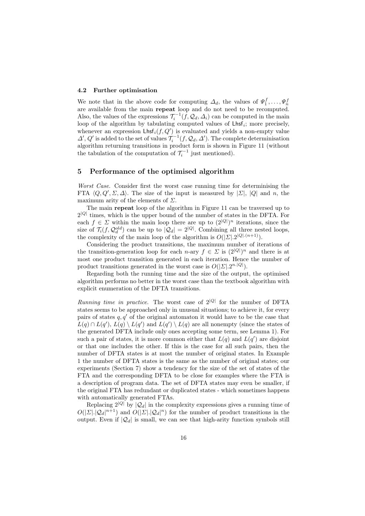#### 4.2 Further optimisation

We note that in the above code for computing  $\Delta_d$ , the values of  $\Psi_1^f, \ldots, \Psi_n^f$ are available from the main repeat loop and do not need to be recomputed. Also, the values of the expressions  $\mathcal{T}_i^{-1}(f, \mathcal{Q}_d, \Delta_i)$  can be computed in the main loop of the algorithm by tabulating computed values of  $\mathsf{Lhsf}_i$ ; more precisely, whenever an expression  $\mathsf{Lhsf}_i(f, Q')$  is evaluated and yields a non-empty value  $\Delta', Q'$  is added to the set of values  $\mathcal{T}_i^{-1}(f, \mathcal{Q}_d, \Delta')$ . The complete determinisation algorithm returning transitions in product form is shown in Figure 11 (without the tabulation of the computation of  $\mathcal{T}_i^{-1}$  just mentioned).

# 5 Performance of the optimised algorithm

Worst Case. Consider first the worst case running time for determinising the FTA  $\langle Q, Q', \Sigma, \Delta \rangle$ . The size of the input is measured by  $|\Sigma|, |Q|$  and n, the maximum arity of the elements of  $\Sigma$ .

The main repeat loop of the algorithm in Figure 11 can be traversed up to  $2^{|Q|}$  times, which is the upper bound of the number of states in the DFTA. For each  $f \in \Sigma$  within the main loop there are up to  $(2^{|Q|})^n$  iterations, since the size of  $\mathcal{T}_i(f, \mathcal{Q}_d^{old})$  can be up to  $|\mathcal{Q}_d| = 2^{|Q|}$ . Combining all three nested loops, the complexity of the main loop of the algorithm is  $O(|\mathcal{L}|.2^{|Q|.(n+1)})$ .

Considering the product transitions, the maximum number of iterations of the transition-generation loop for each n-ary  $f \in \Sigma$  is  $(2^{|Q|})^n$  and there is at most one product transition generated in each iteration. Hence the number of product transitions generated in the worst case is  $O(|\Sigma| \cdot 2^{n \cdot |Q|})$ .

Regarding both the running time and the size of the output, the optimised algorithm performs no better in the worst case than the textbook algorithm with explicit enumeration of the DFTA transitions.

*Running time in practice.* The worst case of  $2^{|Q|}$  for the number of DFTA states seems to be approached only in unusual situations; to achieve it, for every pairs of states  $q, q'$  of the original automaton it would have to be the case that  $L(q) \cap L(q')$ ,  $L(q) \setminus L(q')$  and  $L(q') \setminus L(q)$  are all nonempty (since the states of the generated DFTA include only ones accepting some term, see Lemma 1). For such a pair of states, it is more common either that  $L(q)$  and  $L(q')$  are disjoint or that one includes the other. If this is the case for all such pairs, then the number of DFTA states is at most the number of original states. In Example 1 the number of DFTA states is the same as the number of original states; our experiments (Section 7) show a tendency for the size of the set of states of the FTA and the corresponding DFTA to be close for examples where the FTA is a description of program data. The set of DFTA states may even be smaller, if the original FTA has redundant or duplicated states - which sometimes happens with automatically generated FTAs.

Replacing  $2^{|Q|}$  by  $|Q_d|$  in the complexity expressions gives a running time of  $O(|\Sigma| |\mathcal{Q}_d|^{n+1})$  and  $O(|\Sigma| |\mathcal{Q}_d|^n)$  for the number of product transitions in the output. Even if  $|Q_d|$  is small, we can see that high-arity function symbols still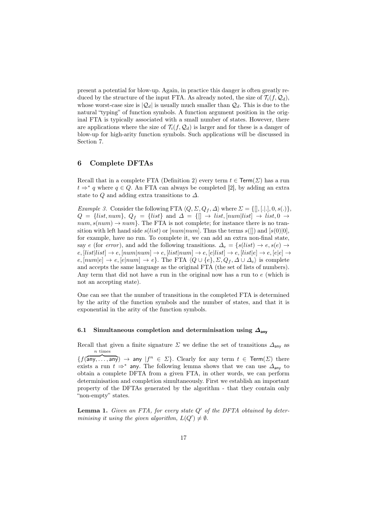present a potential for blow-up. Again, in practice this danger is often greatly reduced by the structure of the input FTA. As already noted, the size of  $\mathcal{T}_i(f, \mathcal{Q}_d)$ , whose worst-case size is  $|Q_d|$  is usually much smaller than  $Q_d$ . This is due to the natural "typing" of function symbols. A function argument position in the original FTA is typically associated with a small number of states. However, there are applications where the size of  $\mathcal{T}_i(f, \mathcal{Q}_d)$  is larger and for these is a danger of blow-up for high-arity function symbols. Such applications will be discussed in Section 7.

# 6 Complete DFTAs

Recall that in a complete FTA (Definition 2) every term  $t \in \text{Term}(\Sigma)$  has a run  $t \Rightarrow^* q$  where  $q \in Q$ . An FTA can always be completed [2], by adding an extra state to Q and adding extra transitions to  $\Delta$ .

Example 3. Consider the following FTA  $\langle Q, \Sigma, Q_f, \Delta \rangle$  where  $\Sigma = \{[], [..], 0, s(.)\}$ ,  $Q = \{list, num\}, Q_f = \{list\} \text{ and } \Delta = \{\llbracket \rightarrow list, \llbracket num \rrbracket list \rrbracket \rightarrow list, 0 \rightarrow \text{ } \}$  $num, s(num) \rightarrow num$ . The FTA is not complete; for instance there is no transition with left hand side  $s(list)$  or  $[num|num]$ . Thus the terms  $s([])$  and  $[s(0)|0]$ , for example, have no run. To complete it, we can add an extra non-final state, say e (for error), and add the following transitions.  $\Delta_e = \{s(list) \rightarrow e, s(e) \rightarrow$  $e, [list|list] \rightarrow e, [num|num] \rightarrow e, [list|num] \rightarrow e, [elist] \rightarrow e, [list|e] \rightarrow e, [ele] \rightarrow$  $e, [num]e] \rightarrow e, [e] num] \rightarrow e$ . The FTA  $\langle Q \cup \{e\}, \Sigma, Q_f, \Delta \cup \Delta_e \rangle$  is complete and accepts the same language as the original FTA (the set of lists of numbers). Any term that did not have a run in the original now has a run to e (which is not an accepting state).

One can see that the number of transitions in the completed FTA is determined by the arity of the function symbols and the number of states, and that it is exponential in the arity of the function symbols.

#### 6.1 Simultaneous completion and determinisation using  $\Delta_{\text{anv}}$

Recall that given a finite signature  $\Sigma$  we define the set of transitions  $\Delta_{\text{any}}$  as n times

 ${f(\overline{\mathsf{any}, \ldots, \mathsf{any}}) \to \mathsf{any} \mid f^n \in \Sigma}.$  Clearly for any term  $t \in \mathsf{Term}(\Sigma)$  there exists a run  $t \Rightarrow^*$  any. The following lemma shows that we can use  $\Delta_{\text{any}}$  to obtain a complete DFTA from a given FTA, in other words, we can perform determinisation and completion simultaneously. First we establish an important property of the DFTAs generated by the algorithm - that they contain only "non-empty" states.

**Lemma 1.** Given an FTA, for every state  $Q'$  of the DFTA obtained by determinising it using the given algorithm,  $L(Q') \neq \emptyset$ .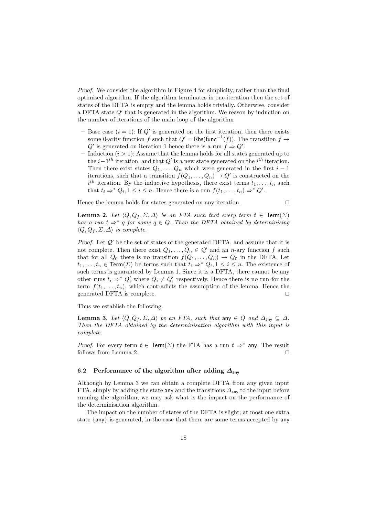Proof. We consider the algorithm in Figure 4 for simplicity, rather than the final optimised algorithm. If the algorithm terminates in one iteration then the set of states of the DFTA is empty and the lemma holds trivially. Otherwise, consider a DFTA state  $Q'$  that is generated in the algorithm. We reason by induction on the number of iterations of the main loop of the algorithm

- Base case  $(i = 1)$ : If  $Q'$  is generated on the first iteration, then there exists some 0-arity function f such that  $Q' = \mathsf{Rhs}(\text{func}^{-1}(f))$ . The transition  $f \to$  $Q'$  is generated on iteration 1 hence there is a run  $f \Rightarrow Q'$ .
- Induction  $(i > 1)$ : Assume that the lemma holds for all states generated up to the  $i-1$ <sup>th</sup> iteration, and that  $Q'$  is a new state generated on the i<sup>th</sup> iteration. Then there exist states  $Q_1, \ldots, Q_n$  which were generated in the first  $i-1$ iterations, such that a transition  $f(Q_1, \ldots, Q_n) \to Q'$  is constructed on the  $i^{th}$  iteration. By the inductive hypothesis, there exist terms  $t_1, \ldots, t_n$  such that  $t_i \Rightarrow^* Q_i, 1 \leq i \leq n$ . Hence there is a run  $f(t_1, \ldots, t_n) \Rightarrow^* Q'$ .

Hence the lemma holds for states generated on any iteration.

$$
\Box
$$

**Lemma 2.** Let  $\langle Q, Q_f, \Sigma, \Delta \rangle$  be an FTA such that every term  $t \in \text{Term}(\Sigma)$ has a run  $t \Rightarrow^* q$  for some  $q \in Q$ . Then the DFTA obtained by determinising  $\langle Q, Q_f, \Sigma, \Delta \rangle$  is complete.

*Proof.* Let  $Q'$  be the set of states of the generated DFTA, and assume that it is not complete. Then there exist  $Q_1, \ldots, Q_n \in \mathcal{Q}'$  and an n-ary function f such that for all  $Q_0$  there is no transition  $f(Q_1, \ldots, Q_n) \to Q_0$  in the DFTA. Let  $t_1, \ldots, t_n \in \text{Term}(\Sigma)$  be terms such that  $t_i \Rightarrow^* Q_i, 1 \leq i \leq n$ . The existence of such terms is guaranteed by Lemma 1. Since it is a DFTA, there cannot be any other runs  $t_i \Rightarrow^* Q'_i$  where  $Q_i \neq Q'_i$  respectively. Hence there is no run for the term  $f(t_1, \ldots, t_n)$ , which contradicts the assumption of the lemma. Hence the generated DFTA is complete.  $\Box$ 

Thus we establish the following.

Lemma 3. Let  $\langle Q, Q_f, \Sigma, \Delta \rangle$  be an FTA, such that any  $\in Q$  and  $\Delta_{\text{any}} \subseteq \Delta$ . Then the DFTA obtained by the determinisation algorithm with this input is complete.

*Proof.* For every term  $t \in \text{Term}(\Sigma)$  the FTA has a run  $t \Rightarrow^*$  any. The result follows from Lemma 2.  $\Box$ 

#### 6.2 Performance of the algorithm after adding  $\Delta_{\text{aniv}}$

Although by Lemma 3 we can obtain a complete DFTA from any given input FTA, simply by adding the state any and the transitions  $\Delta_{\text{any}}$  to the input before running the algorithm, we may ask what is the impact on the performance of the determinisation algorithm.

The impact on the number of states of the DFTA is slight; at most one extra state {any} is generated, in the case that there are some terms accepted by any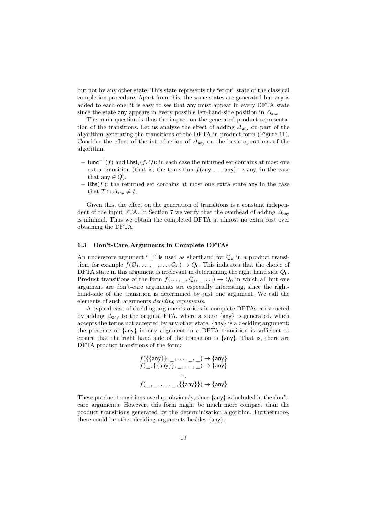but not by any other state. This state represents the "error" state of the classical completion procedure. Apart from this, the same states are generated but any is added to each one; it is easy to see that any must appear in every DFTA state since the state any appears in every possible left-hand-side position in  $\Delta_{\text{anv}}$ .

The main question is thus the impact on the generated product representation of the transitions. Let us analyse the effect of adding  $\Delta_{\text{any}}$  on part of the algorithm generating the transitions of the DFTA in product form (Figure 11). Consider the effect of the introduction of  $\Delta_{\text{any}}$  on the basic operations of the algorithm.

- $-$  func $^{-1}(f)$  and  $\mathsf{Lhsf}_i(f,Q)$ : in each case the returned set contains at most one extra transition (that is, the transition  $f(\text{any}, \ldots, \text{any}) \rightarrow \text{any}$ , in the case that any  $\in Q$ ).
- $Rhs(T)$ : the returned set contains at most one extra state any in the case that  $T \cap \Delta_{\text{anv}} \neq \emptyset$ .

Given this, the effect on the generation of transitions is a constant independent of the input FTA. In Section 7 we verify that the overhead of adding  $\Delta_{\text{anv}}$ is minimal. Thus we obtain the completed DFTA at almost no extra cost over obtaining the DFTA.

#### 6.3 Don't-Care Arguments in Complete DFTAs

An underscore argument "<sup>"</sup> is used as shorthand for  $\mathcal{Q}_d$  in a product transition, for example  $f(Q_1, \ldots, \ldots, Q_n) \to Q_0$ . This indicates that the choice of DFTA state in this argument is irrelevant in determining the right hand side  $Q_0$ . Product transitions of the form  $f(\ldots, \_, Q_i, \_, \ldots) \to Q_0$  in which all but one argument are don't-care arguments are especially interesting, since the righthand-side of the transition is determined by just one argument. We call the elements of such arguments deciding arguments.

A typical case of deciding arguments arises in complete DFTAs constructed by adding  $\Delta_{\text{any}}$  to the original FTA, where a state {any} is generated, which accepts the terms not accepted by any other state. {any} is a deciding argument; the presence of {any} in any argument in a DFTA transition is sufficient to ensure that the right hand side of the transition is {any}. That is, there are DFTA product transitions of the form:

$$
f(\{\{\text{any}\}\}, \_, \dots, \_, \_) \rightarrow \{\text{any}\}\
$$

$$
f(\_, \{\{\text{any}\}\}, \_, \dots, \_) \rightarrow \{\text{any}\}\
$$

$$
\vdots
$$

$$
f(\_, \_, \dots, \_, \{\{\text{any}\}\}) \rightarrow \{\text{any}\}\
$$

These product transitions overlap, obviously, since {any} is included in the don'tcare arguments. However, this form might be much more compact than the product transitions generated by the determinisation algorithm. Furthermore, there could be other deciding arguments besides {any}.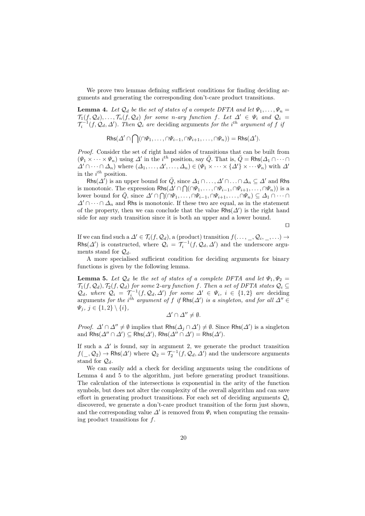We prove two lemmas defining sufficient conditions for finding deciding arguments and generating the corresponding don't-care product transitions.

**Lemma 4.** Let  $\mathcal{Q}_d$  be the set of states of a compete DFTA and let  $\Psi_1, \ldots, \Psi_n =$  $\mathcal{T}_1(f,\mathcal{Q}_d),\ldots,\mathcal{T}_n(f,\mathcal{Q}_d)$  for some n-ary function f. Let  $\Delta' \in \Psi_i$  and  $\mathcal{Q}_i =$  $\mathcal{T}_i^{-1}(f, \mathcal{Q}_d, \Delta')$ . Then  $\mathcal{Q}_i$  are deciding arguments for the i<sup>th</sup> argument of f is

 $\mathsf{Rhs}(\varDelta'\cap\bigcap(\cap \varPsi_1,\ldots,\cap \varPsi_{i-1},\cap \varPsi_{i+1},\ldots,\cap \varPsi_n))=\mathsf{Rhs}(\varDelta').$ 

Proof. Consider the set of right hand sides of transitions that can be built from  $(\Psi_1 \times \cdots \times \Psi_n)$  using  $\Delta'$  in the *i*<sup>th</sup> position, say  $\overline{Q}$ . That is,  $\overline{Q} = \mathsf{Rhs}(\Delta_1 \cap \cdots \cap \Delta_n)$  $\Delta' \cap \cdots \cap \Delta_n$ ) where  $(\Delta_1, \ldots, \Delta', \ldots, \Delta_n) \in (\Psi_1 \times \cdots \times \{\Delta'\} \times \cdots \Psi_n)$  with  $\Delta'$ in the  $i^{th}$  position.

Rhs $(\Delta')$  is an upper bound for  $\overline{Q}$ , since  $\Delta_1 \cap \ldots \cap \Delta_n \subseteq \Delta'$  and Rhs is monotonic. The expression  $\mathsf{R}\mathsf{hs}(\Delta' \cap \bigcap(\bigcap \Psi_1,\ldots,\bigcap \Psi_{i-1},\bigcap \Psi_{i+1},\ldots,\bigcap \Psi_n))$  is a lower bound for  $\overline{Q}$ , since  $\Delta' \cap \bigcap (\cap \Psi_1, \dots, \cap \Psi_{i-1}, \cap \Psi_{i+1}, \dots, \cap \Psi_n) \subseteq \Delta_1 \cap \dots \cap$  $\Delta' \cap \cdots \cap \Delta_n$  and Rhs is monotonic. If these two are equal, as in the statement of the property, then we can conclude that the value  $\mathsf{Rhs}(\Delta')$  is the right hand side for any such transition since it is both an upper and a lower bound.

 $\Box$ 

If we can find such a  $\Delta' \in \mathcal{T}_i(f, \mathcal{Q}_d)$ , a (product) transition  $f(\ldots, \_, \mathcal{Q}_i, \_, \ldots) \rightarrow$ Rhs( $\Delta'$ ) is constructed, where  $\mathcal{Q}_i = \mathcal{T}_i^{-1}(f, \mathcal{Q}_d, \Delta')$  and the underscore arguments stand for  $\mathcal{Q}_d$ .

A more specialised sufficient condition for deciding arguments for binary functions is given by the following lemma.

**Lemma 5.** Let  $\mathcal{Q}_d$  be the set of states of a complete DFTA and let  $\Psi_1, \Psi_2$  =  $\mathcal{T}_1(f,\mathcal{Q}_d), \mathcal{T}_2(f,\mathcal{Q}_d)$  for some 2-ary function f. Then a set of DFTA states  $\mathcal{Q}_i \subseteq$  $\mathcal{Q}_d$ , where  $\mathcal{Q}_i = \mathcal{T}_i^{-1}(f, \mathcal{Q}_d, \Delta')$  for some  $\Delta' \in \Psi_i$ ,  $i \in \{1, 2\}$  are deciding arguments for the i<sup>th</sup> argument of f if Rhs( $\Delta'$ ) is a singleton, and for all  $\Delta'' \in$  $\Psi_i, j \in \{1,2\} \setminus \{i\},\$ 

 $\Delta' \cap \Delta'' \neq \emptyset$ .

*Proof.*  $\Delta' \cap \Delta'' \neq \emptyset$  implies that Rhs $(\Delta_j \cap \Delta') \neq \emptyset$ . Since Rhs $(\Delta')$  is a singleton and  $\textsf{Rhs}(\Delta'' \cap \Delta') \subseteq \textsf{Rhs}(\Delta')$ ,  $\textsf{Rhs}(\Delta'' \cap \Delta') = \textsf{Rhs}(\Delta')$ .

If such a  $\Delta'$  is found, say in argument 2, we generate the product transition  $f(\_,\mathcal{Q}_2)\to \mathsf{Rhs}(\Delta')$  where  $\mathcal{Q}_2=\mathcal{T}_2^{-1}(f,\mathcal{Q}_d,\Delta')$  and the underscore arguments stand for  $\mathcal{Q}_d$ .

We can easily add a check for deciding arguments using the conditions of Lemma 4 and 5 to the algorithm, just before generating product transitions. The calculation of the intersections is exponential in the arity of the function symbols, but does not alter the complexity of the overall algorithm and can save effort in generating product transitions. For each set of deciding arguments  $\mathcal{Q}_i$ discovered, we generate a don't-care product transition of the form just shown, and the corresponding value  $\Delta'$  is removed from  $\Psi_i$  when computing the remaining product transitions for f.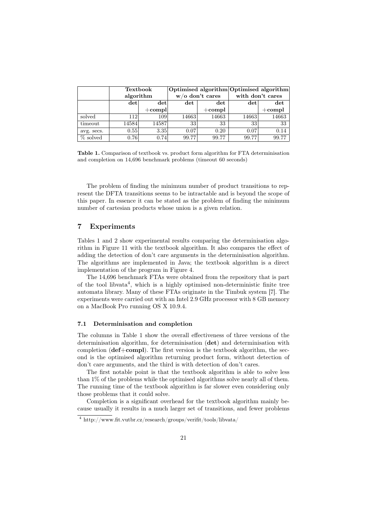|            | <b>Textbook</b> |           | Optimised algorithm Optimised algorithm |              |                  |           |
|------------|-----------------|-----------|-----------------------------------------|--------------|------------------|-----------|
|            | algorithm       |           | $w/o$ don't cares                       |              | with don't cares |           |
|            | $ \det $        | det       | $_{\rm det}$                            | $_{\rm det}$ | det              | det       |
|            |                 | $+$ compl |                                         | $+$ compl    |                  | $+$ compl |
| solved     | 112             | 109       | 14663                                   | 14663        | 14663            | 14663     |
| timeout    | 14584           | 14587     | 33                                      | 33           | 33               | 33        |
| avg. secs. | 0.55            | 3.35      | 0.07                                    | 0.20         | 0.07             | 0.14      |
| % solved   | 0.76            | 0.74      | 99.77                                   | 99.77        | 99.77            | 99.77     |

Table 1. Comparison of textbook vs. product form algorithm for FTA determinisation and completion on 14,696 benchmark problems (timeout 60 seconds)

The problem of finding the minimum number of product transitions to represent the DFTA transitions seems to be intractable and is beyond the scope of this paper. In essence it can be stated as the problem of finding the minimum number of cartesian products whose union is a given relation.

# 7 Experiments

Tables 1 and 2 show experimental results comparing the determinisation algorithm in Figure 11 with the textbook algorithm. It also compares the effect of adding the detection of don't care arguments in the determinisation algorithm. The algorithms are implemented in Java; the textbook algorithm is a direct implementation of the program in Figure 4.

The 14,696 benchmark FTAs were obtained from the repository that is part of the tool libvata<sup>4</sup>, which is a highly optimised non-deterministic finite tree automata library. Many of these FTAs originate in the Timbuk system [7]. The experiments were carried out with an Intel 2.9 GHz processor with 8 GB memory on a MacBook Pro running OS X 10.9.4.

## 7.1 Determinisation and completion

The columns in Table 1 show the overall effectiveness of three versions of the determinisation algorithm, for determinisation (det) and determinisation with completion  $(\text{def}+ \text{compl})$ . The first version is the textbook algorithm, the second is the optimised algorithm returning product form, without detection of don't care arguments, and the third is with detection of don't cares.

The first notable point is that the textbook algorithm is able to solve less than 1% of the problems while the optimised algorithms solve nearly all of them. The running time of the textbook algorithm is far slower even considering only those problems that it could solve.

Completion is a significant overhead for the textbook algorithm mainly because usually it results in a much larger set of transitions, and fewer problems

<sup>4</sup> http://www.fit.vutbr.cz/research/groups/verifit/tools/libvata/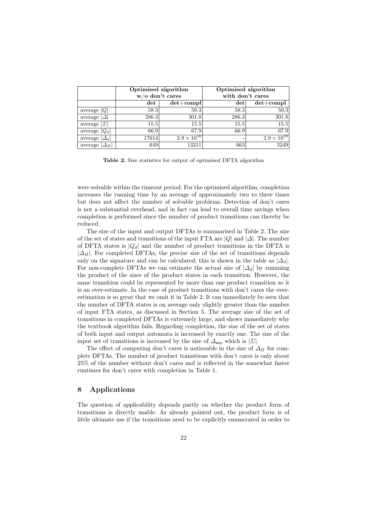|                              | Optimised algorithm<br>$w/o$ don't cares |                      | Optimised algorithm<br>with don't cares |                      |  |
|------------------------------|------------------------------------------|----------------------|-----------------------------------------|----------------------|--|
|                              | $_{\rm det}$                             | $det + compl$        | $_{\rm det}$                            | $det+compl$          |  |
| average $ Q $                | 58.3                                     | 59.3                 | 58.3                                    | 59.3                 |  |
| average<br>Δ                 | 286.3                                    | 301.8                | 286.3                                   | 301.8                |  |
| $\sum$<br>average            | 15.5                                     | 15.5                 | 15.5                                    | 15.5                 |  |
| average $ Q_d $              | 66.9                                     | 67.9                 | 66.9                                    | 67.9                 |  |
| $\Delta_d \vdash$<br>average | 17614                                    | $2.9 \times 10^{18}$ | ۰                                       | $2.9 \times 10^{18}$ |  |
| average  <br>$\Delta \Pi^+$  | 649                                      | 13211                | 663                                     | 3249                 |  |

Table 2. Size statistics for output of optimised DFTA algorithm

were solvable within the timeout period. For the optimised algorithm, completion increases the running time by an average of approximately two to three times but does not affect the number of solvable problems. Detection of don't cares is not a substantial overhead, and in fact can lead to overall time savings when completion is performed since the number of product transitions can thereby be reduced.

The size of the input and output DFTAs is summarised in Table 2. The size of the set of states and transitions of the input FTA are  $|Q|$  and  $|\Delta|$ . The number of DFTA states is  $|Q_d|$  and the number of product transitions in the DFTA is  $|\Delta_{\Pi}|$ . For completed DFTAs, the precise size of the set of transitions depends only on the signature and can be calculated; this is shown in the table as  $|\Delta_d|$ . For non-complete DFTAs we can estimate the actual size of  $|\Delta_d|$  by summing the product of the sizes of the product states in each transition. However, the same transition could be represented by more than one product transition so it is an over-estimate. In the case of product transitions with don't cares the overestimation is so great that we omit it in Table 2. It can immediately be seen that the number of DFTA states is on average only slightly greater than the number of input FTA states, as discussed in Section 5. The average size of the set of transitions in completed DFTAs is extremely large, and shows immediately why the textbook algorithm fails. Regarding completion, the size of the set of states of both input and output automata is increased by exactly one. The size of the input set of transitions is increased by the size of  $\Delta_{\text{any}}$  which is  $|\Sigma|$ .

The effect of computing don't cares is noticeable in the size of  $\Delta_{\Pi}$  for complete DFTAs. The number of product transitions with don't cares is only about 25% of the number without don't cares and is reflected in the somewhat faster runtimes for don't cares with completion in Table 1.

# 8 Applications

The question of applicability depends partly on whether the product form of transitions is directly usable. As already pointed out, the product form is of little ultimate use if the transitions need to be explicitly enumerated in order to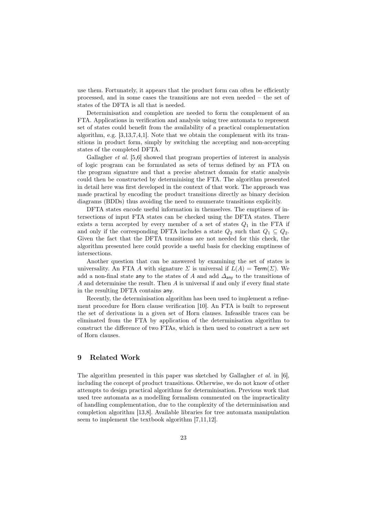use them. Fortunately, it appears that the product form can often be efficiently processed, and in some cases the transitions are not even needed – the set of states of the DFTA is all that is needed.

Determinisation and completion are needed to form the complement of an FTA. Applications in verification and analysis using tree automata to represent set of states could benefit from the availability of a practical complementation algorithm, e.g.  $[3,13,7,4,1]$ . Note that we obtain the complement with its transitions in product form, simply by switching the accepting and non-accepting states of the completed DFTA.

Gallagher *et al.* [5,6] showed that program properties of interest in analysis of logic program can be formulated as sets of terms defined by an FTA on the program signature and that a precise abstract domain for static analysis could then be constructed by determinising the FTA. The algorithm presented in detail here was first developed in the context of that work. The approach was made practical by encoding the product transitions directly as binary decision diagrams (BDDs) thus avoiding the need to enumerate transitions explicitly.

DFTA states encode useful information in themselves. The emptiness of intersections of input FTA states can be checked using the DFTA states. There exists a term accepted by every member of a set of states  $Q_1$  in the FTA if and only if the corresponding DFTA includes a state  $Q_2$  such that  $Q_1 \subseteq Q_2$ . Given the fact that the DFTA transitions are not needed for this check, the algorithm presented here could provide a useful basis for checking emptiness of intersections.

Another question that can be answered by examining the set of states is universality. An FTA A with signature  $\Sigma$  is universal if  $L(A) = \text{Term}(\Sigma)$ . We add a non-final state any to the states of A and add  $\Delta_{\text{any}}$  to the transitions of A and determinise the result. Then A is universal if and only if every final state in the resulting DFTA contains any.

Recently, the determinisation algorithm has been used to implement a refinement procedure for Horn clause verification [10]. An FTA is built to represent the set of derivations in a given set of Horn clauses. Infeasible traces can be eliminated from the FTA by application of the determinisation algorithm to construct the difference of two FTAs, which is then used to construct a new set of Horn clauses.

# 9 Related Work

The algorithm presented in this paper was sketched by Gallagher et al. in [6], including the concept of product transitions. Otherwise, we do not know of other attempts to design practical algorithms for determinisation. Previous work that used tree automata as a modelling formalism commented on the impracticality of handling complementation, due to the complexity of the determinisation and completion algorithm [13,8]. Available libraries for tree automata manipulation seem to implement the textbook algorithm [7,11,12].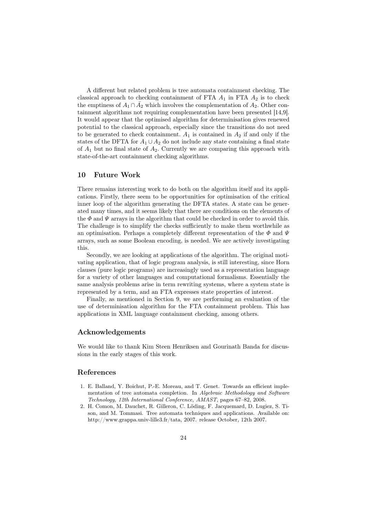A different but related problem is tree automata containment checking. The classical approach to checking containment of FTA  $A_1$  in FTA  $A_2$  is to check the emptiness of  $A_1 \cap \overline{A}_2$  which involves the complementation of  $A_2$ . Other containment algorithms not requiring complementation have been presented [14,9]. It would appear that the optimised algorithm for determinisation gives renewed potential to the classical approach, especially since the transitions do not need to be generated to check containment.  $A_1$  is contained in  $A_2$  if and only if the states of the DFTA for  $A_1 \cup A_2$  do not include any state containing a final state of  $A_1$  but no final state of  $A_2$ . Currently we are comparing this approach with state-of-the-art containment checking algorithms.

# 10 Future Work

There remains interesting work to do both on the algorithm itself and its applications. Firstly, there seem to be opportunities for optimisation of the critical inner loop of the algorithm generating the DFTA states. A state can be generated many times, and it seems likely that there are conditions on the elements of the  $\Phi$  and  $\Psi$  arrays in the algorithm that could be checked in order to avoid this. The challenge is to simplify the checks sufficiently to make them worthwhile as an optimisation. Perhaps a completely different representation of the  $\Phi$  and  $\Psi$ arrays, such as some Boolean encoding, is needed. We are actively investigating this.

Secondly, we are looking at applications of the algorithm. The original motivating application, that of logic program analysis, is still interesting, since Horn clauses (pure logic programs) are increasingly used as a representation language for a variety of other languages and computational formalisms. Essentially the same analysis problems arise in term rewriting systems, where a system state is represented by a term, and an FTA expresses state properties of interest.

Finally, as mentioned in Section 9, we are performing an evaluation of the use of determinisation algorithm for the FTA containment problem. This has applications in XML language containment checking, among others.

# Acknowledgements

We would like to thank Kim Steen Henriksen and Gourinath Banda for discussions in the early stages of this work.

# References

- 1. E. Balland, Y. Boichut, P.-E. Moreau, and T. Genet. Towards an efficient implementation of tree automata completion. In Algebraic Methodology and Software Technology, 12th International Conference, AMAST, pages 67–82, 2008.
- 2. H. Comon, M. Dauchet, R. Gilleron, C. Löding, F. Jacquemard, D. Lugiez, S. Tison, and M. Tommasi. Tree automata techniques and applications. Available on: http://www.grappa.univ-lille3.fr/tata, 2007. release October, 12th 2007.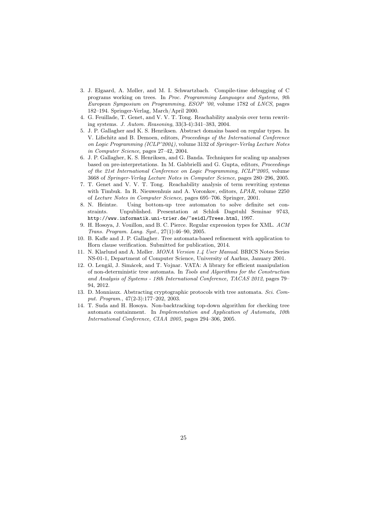- 3. J. Elgaard, A. Møller, and M. I. Schwartzbach. Compile-time debugging of C programs working on trees. In Proc. Programming Languages and Systems, 9th European Symposium on Programming, ESOP '00, volume 1782 of LNCS, pages 182–194. Springer-Verlag, March/April 2000.
- 4. G. Feuillade, T. Genet, and V. V. T. Tong. Reachability analysis over term rewriting systems. J. Autom. Reasoning, 33(3-4):341–383, 2004.
- 5. J. P. Gallagher and K. S. Henriksen. Abstract domains based on regular types. In V. Lifschitz and B. Demoen, editors, Proceedings of the International Conference on Logic Programming (ICLP'2004), volume 3132 of Springer-Verlag Lecture Notes in Computer Science, pages 27–42, 2004.
- 6. J. P. Gallagher, K. S. Henriksen, and G. Banda. Techniques for scaling up analyses based on pre-interpretations. In M. Gabbrielli and G. Gupta, editors, Proceedings of the 21st International Conference on Logic Programming, ICLP'2005, volume 3668 of Springer-Verlag Lecture Notes in Computer Science, pages 280–296, 2005.
- 7. T. Genet and V. V. T. Tong. Reachability analysis of term rewriting systems with Timbuk. In R. Nieuwenhuis and A. Voronkov, editors, LPAR, volume 2250 of Lecture Notes in Computer Science, pages 695–706. Springer, 2001.
- 8. N. Heintze. Using bottom-up tree automaton to solve definite set constraints. Unpublished. Presentation at Schloß Dagstuhl Seminar 9743, http://www.informatik.uni-trier.de/~seidl/Trees.html, 1997.
- 9. H. Hosoya, J. Vouillon, and B. C. Pierce. Regular expression types for XML. ACM Trans. Program. Lang. Syst., 27(1):46–90, 2005.
- 10. B. Kafle and J. P. Gallagher. Tree automata-based refinement with application to Horn clause verification. Submitted for publication, 2014.
- 11. N. Klarlund and A. Møller. MONA Version 1.4 User Manual. BRICS Notes Series NS-01-1, Department of Computer Science, University of Aarhus, January 2001.
- 12. O. Lengál, J. Simácek, and T. Vojnar. VATA: A library for efficient manipulation of non-deterministic tree automata. In Tools and Algorithms for the Construction and Analysis of Systems - 18th International Conference, TACAS 2012, pages 79– 94, 2012.
- 13. D. Monniaux. Abstracting cryptographic protocols with tree automata. Sci. Comput. Program., 47(2-3):177–202, 2003.
- 14. T. Suda and H. Hosoya. Non-backtracking top-down algorithm for checking tree automata containment. In Implementation and Application of Automata, 10th International Conference, CIAA 2005, pages 294–306, 2005.